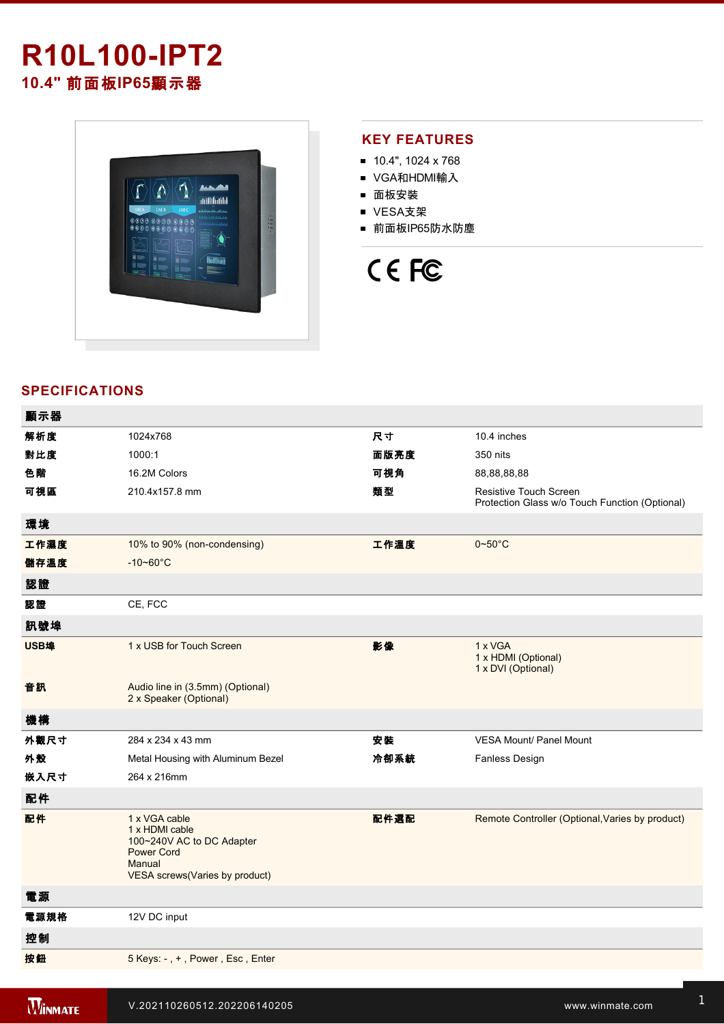## **R10L100IPT2 10.4"** 前面板**IP65**顯示器



#### **KEY FEATURES**

- 10.4", 1024 x 768
- VGA和HDMI輸入
- 面板安裝
- VESA支架
- 前面板IP65防水防塵

# CE FC

### **SPECIFICATIONS**

| 顯示器  |                                                                                                                               |      |                                                                                 |
|------|-------------------------------------------------------------------------------------------------------------------------------|------|---------------------------------------------------------------------------------|
| 解析度  | 1024x768                                                                                                                      | 尺寸   | 10.4 inches                                                                     |
| 對比度  | 1000:1                                                                                                                        | 面版亮度 | 350 nits                                                                        |
| 色階   | 16.2M Colors                                                                                                                  | 可視角  | 88,88,88,88                                                                     |
| 可視區  | 210.4x157.8 mm                                                                                                                | 類型   | <b>Resistive Touch Screen</b><br>Protection Glass w/o Touch Function (Optional) |
| 環境   |                                                                                                                               |      |                                                                                 |
| 工作濕度 | 10% to 90% (non-condensing)                                                                                                   | 工作溫度 | $0 - 50$ °C                                                                     |
| 儲存溫度 | $-10 - 60^{\circ}$ C                                                                                                          |      |                                                                                 |
| 認證   |                                                                                                                               |      |                                                                                 |
| 認證   | CE, FCC                                                                                                                       |      |                                                                                 |
| 訊號埠  |                                                                                                                               |      |                                                                                 |
| USB埠 | 1 x USB for Touch Screen                                                                                                      | 影像   | 1 x VGA<br>1 x HDMI (Optional)<br>1 x DVI (Optional)                            |
| 音訊   | Audio line in (3.5mm) (Optional)<br>2 x Speaker (Optional)                                                                    |      |                                                                                 |
| 機構   |                                                                                                                               |      |                                                                                 |
| 外觀尺寸 | 284 x 234 x 43 mm                                                                                                             | 安装   | <b>VESA Mount/ Panel Mount</b>                                                  |
| 外殼   | Metal Housing with Aluminum Bezel                                                                                             | 冷卻系統 | Fanless Design                                                                  |
| 嵌入尺寸 | 264 x 216mm                                                                                                                   |      |                                                                                 |
| 配件   |                                                                                                                               |      |                                                                                 |
| 配件   | 1 x VGA cable<br>1 x HDMI cable<br>100~240V AC to DC Adapter<br><b>Power Cord</b><br>Manual<br>VESA screws(Varies by product) | 配件選配 | Remote Controller (Optional, Varies by product)                                 |
| 電源   |                                                                                                                               |      |                                                                                 |
| 電源規格 | 12V DC input                                                                                                                  |      |                                                                                 |
| 控制   |                                                                                                                               |      |                                                                                 |
| 按鈕   | 5 Keys: -, +, Power, Esc, Enter                                                                                               |      |                                                                                 |

Windows **Material Accounts**